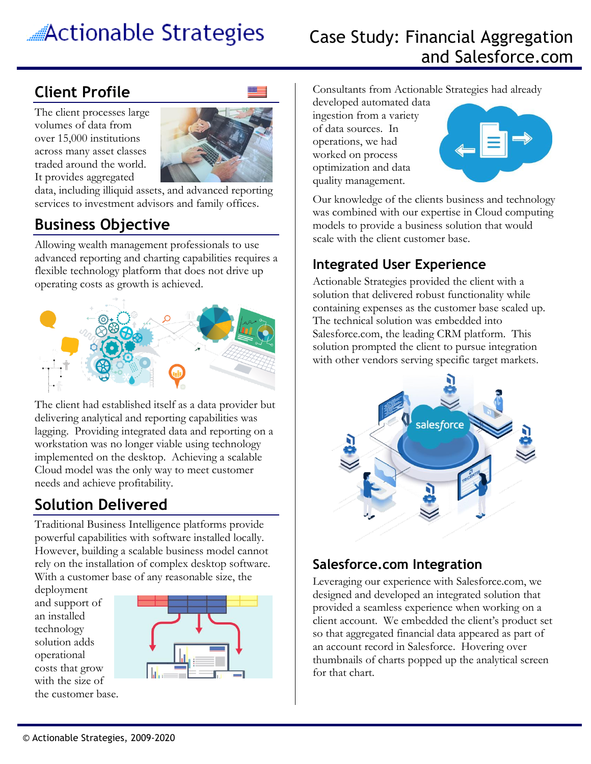# Actionable Strategies

## Case Study: Financial Aggregation and Salesforce.com

# **Client Profile**

The client processes large volumes of data from over 15,000 institutions across many asset classes traded around the world. It provides aggregated



data, including illiquid assets, and advanced reporting services to investment advisors and family offices.

## **Business Objective**

Allowing wealth management professionals to use advanced reporting and charting capabilities requires a flexible technology platform that does not drive up operating costs as growth is achieved.



The client had established itself as a data provider but delivering analytical and reporting capabilities was lagging. Providing integrated data and reporting on a workstation was no longer viable using technology implemented on the desktop. Achieving a scalable Cloud model was the only way to meet customer needs and achieve profitability.

## **Solution Delivered**

Traditional Business Intelligence platforms provide powerful capabilities with software installed locally. However, building a scalable business model cannot rely on the installation of complex desktop software. With a customer base of any reasonable size, the

deployment and support of an installed technology solution adds operational costs that grow with the size of the customer base.



Consultants from Actionable Strategies had already

developed automated data ingestion from a variety of data sources. In operations, we had worked on process optimization and data quality management.



Our knowledge of the clients business and technology was combined with our expertise in Cloud computing models to provide a business solution that would scale with the client customer base.

#### **Integrated User Experience**

Actionable Strategies provided the client with a solution that delivered robust functionality while containing expenses as the customer base scaled up. The technical solution was embedded into Salesforce.com, the leading CRM platform. This solution prompted the client to pursue integration with other vendors serving specific target markets.



## **Salesforce.com Integration**

Leveraging our experience with Salesforce.com, we designed and developed an integrated solution that provided a seamless experience when working on a client account. We embedded the client's product set so that aggregated financial data appeared as part of an account record in Salesforce. Hovering over thumbnails of charts popped up the analytical screen for that chart.